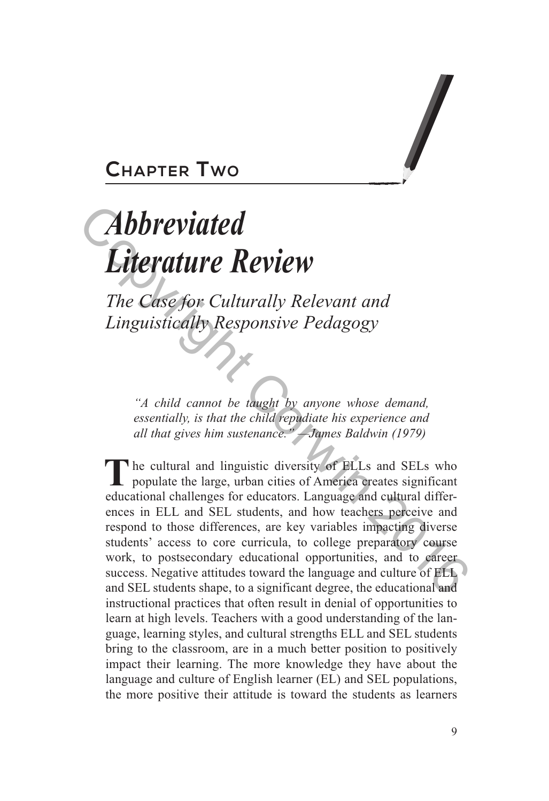**Chapter Two**

# *Abbreviated Literature Review*

*The Case for Culturally Relevant and Linguistically Responsive Pedagogy*

*"A child cannot be taught by anyone whose demand, essentially, is that the child repudiate his experience and all that gives him sustenance." —James Baldwin (1979)*

The cultural and linguistic diversity of ELLs and SELs who populate the large, urban cities of America creates significant educational challenges for educators. Language and cultural differences in ELL and SEL students, and how teachers perceive and respond to those differences, are key variables impacting diverse students' access to core curricula, to college preparatory course work, to postsecondary educational opportunities, and to career success. Negative attitudes toward the language and culture of ELL and SEL students shape, to a significant degree, the educational and instructional practices that often result in denial of opportunities to learn at high levels. Teachers with a good understanding of the language, learning styles, and cultural strengths ELL and SEL students bring to the classroom, are in a much better position to positively impact their learning. The more knowledge they have about the language and culture of English learner (EL) and SEL populations, the more positive their attitude is toward the students as learners **Abbreviated**<br> **Literature Review**<br>
The Case for Culturally Relevant and<br>
Linguistically Responsive Pedagogy<br>
Linguistically Responsive Pedagogy<br>  $\therefore$  A child cannot be taught by anyone whose demand,<br>
essentially, is tha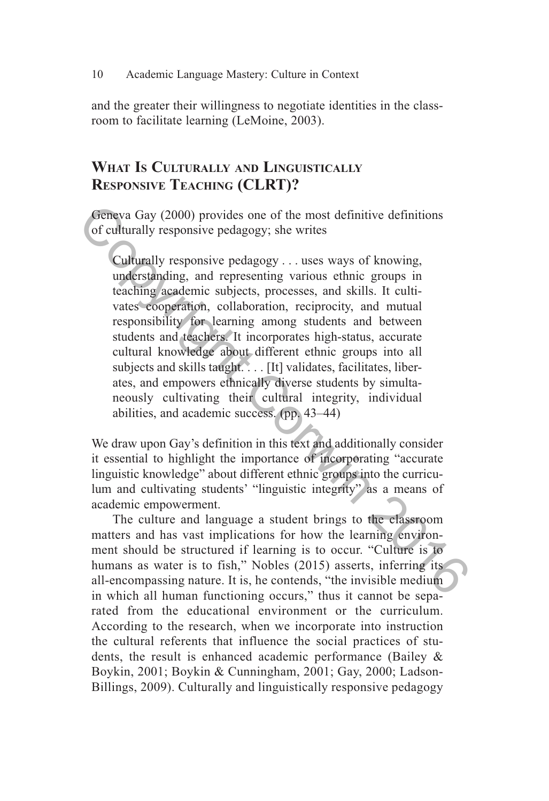and the greater their willingness to negotiate identities in the classroom to facilitate learning (LeMoine, 2003).

## **What Is Culturally and Linguistically Responsive Teaching (CLRT)?**

Geneva Gay (2000) provides one of the most definitive definitions of culturally responsive pedagogy; she writes

Culturally responsive pedagogy . . . uses ways of knowing, understanding, and representing various ethnic groups in teaching academic subjects, processes, and skills. It cultivates cooperation, collaboration, reciprocity, and mutual responsibility for learning among students and between students and teachers. It incorporates high-status, accurate cultural knowledge about different ethnic groups into all subjects and skills taught. . . . [It] validates, facilitates, liberates, and empowers ethnically diverse students by simultaneously cultivating their cultural integrity, individual abilities, and academic success. (pp. 43–44) Geneva Gay (2000) provides one of the most definitive definitions<br>of culturally responsive pedagogy; she writes<br>Culturally responsive pedagogy ... uses ways of knowing,<br>understanding, and representing various ethnic group

We draw upon Gay's definition in this text and additionally consider it essential to highlight the importance of incorporating "accurate linguistic knowledge" about different ethnic groups into the curriculum and cultivating students' "linguistic integrity" as a means of academic empowerment.

The culture and language a student brings to the classroom matters and has vast implications for how the learning environment should be structured if learning is to occur. "Culture is to humans as water is to fish," Nobles (2015) asserts, inferring its all-encompassing nature. It is, he contends, "the invisible medium in which all human functioning occurs," thus it cannot be separated from the educational environment or the curriculum. According to the research, when we incorporate into instruction the cultural referents that influence the social practices of students, the result is enhanced academic performance (Bailey & Boykin, 2001; Boykin & Cunningham, 2001; Gay, 2000; Ladson-Billings, 2009). Culturally and linguistically responsive pedagogy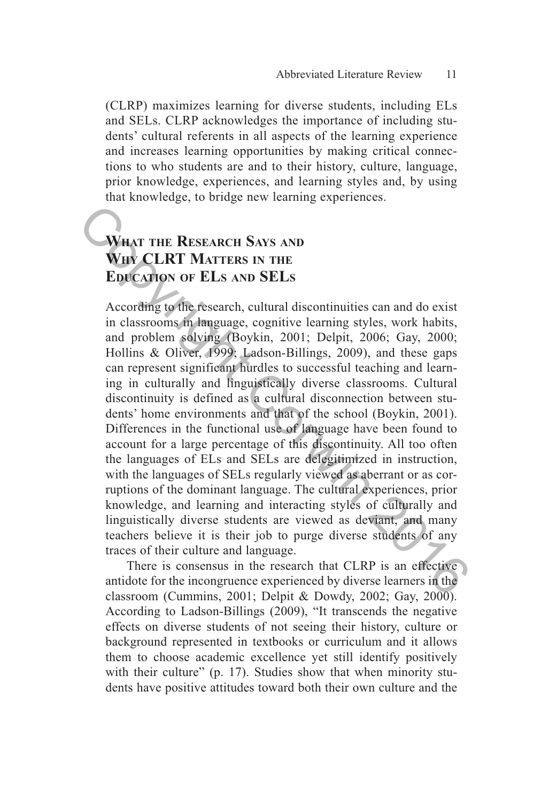(CLRP) maximizes learning for diverse students, including ELs and SELs. CLRP acknowledges the importance of including students' cultural referents in all aspects of the learning experience and increases learning opportunities by making critical connections to who students are and to their history, culture, language, prior knowledge, experiences, and learning styles and, by using that knowledge, to bridge new learning experiences.

# **What the Research Says and Why CLRT Matters in the Education of ELs and SELs**

According to the research, cultural discontinuities can and do exist in classrooms in language, cognitive learning styles, work habits, and problem solving (Boykin, 2001; Delpit, 2006; Gay, 2000; Hollins & Oliver, 1999; Ladson-Billings, 2009), and these gaps can represent significant hurdles to successful teaching and learning in culturally and linguistically diverse classrooms. Cultural discontinuity is defined as a cultural disconnection between students' home environments and that of the school (Boykin, 2001). Differences in the functional use of language have been found to account for a large percentage of this discontinuity. All too often the languages of ELs and SELs are delegitimized in instruction, with the languages of SELs regularly viewed as aberrant or as corruptions of the dominant language. The cultural experiences, prior knowledge, and learning and interacting styles of culturally and linguistically diverse students are viewed as deviant, and many teachers believe it is their job to purge diverse students of any traces of their culture and language. **WHAT THE RESEARCH SAYS AND**<br>
WHAT THE RESEARCH SAYS AND<br>
WEVCLIRT MATTERS IN THE<br>
EDECATION OF ELS AND SELS<br>
According to the research, cultural discontinuities can and do exist<br>
in classrooms in language, cognitive lear

There is consensus in the research that CLRP is an effective antidote for the incongruence experienced by diverse learners in the classroom (Cummins, 2001; Delpit & Dowdy, 2002; Gay, 2000). According to Ladson-Billings (2009), "It transcends the negative effects on diverse students of not seeing their history, culture or background represented in textbooks or curriculum and it allows them to choose academic excellence yet still identify positively with their culture" (p. 17). Studies show that when minority students have positive attitudes toward both their own culture and the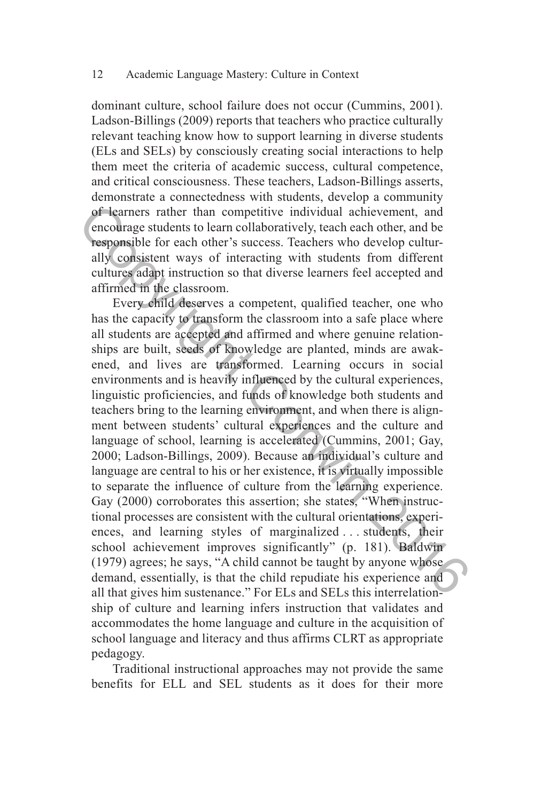dominant culture, school failure does not occur (Cummins, 2001). Ladson-Billings (2009) reports that teachers who practice culturally relevant teaching know how to support learning in diverse students (ELs and SELs) by consciously creating social interactions to help them meet the criteria of academic success, cultural competence, and critical consciousness. These teachers, Ladson-Billings asserts, demonstrate a connectedness with students, develop a community of learners rather than competitive individual achievement, and encourage students to learn collaboratively, teach each other, and be responsible for each other's success. Teachers who develop culturally consistent ways of interacting with students from different cultures adapt instruction so that diverse learners feel accepted and affirmed in the classroom.

Every child deserves a competent, qualified teacher, one who has the capacity to transform the classroom into a safe place where all students are accepted and affirmed and where genuine relationships are built, seeds of knowledge are planted, minds are awakened, and lives are transformed. Learning occurs in social environments and is heavily influenced by the cultural experiences, linguistic proficiencies, and funds of knowledge both students and teachers bring to the learning environment, and when there is alignment between students' cultural experiences and the culture and language of school, learning is accelerated (Cummins, 2001; Gay, 2000; Ladson-Billings, 2009). Because an individual's culture and language are central to his or her existence, it is virtually impossible to separate the influence of culture from the learning experience. Gay (2000) corroborates this assertion; she states, "When instructional processes are consistent with the cultural orientations, experiences, and learning styles of marginalized . . . students, their school achievement improves significantly" (p. 181). Baldwin (1979) agrees; he says, "A child cannot be taught by anyone whose demand, essentially, is that the child repudiate his experience and all that gives him sustenance." For ELs and SELs this interrelationship of culture and learning infers instruction that validates and accommodates the home language and culture in the acquisition of school language and literacy and thus affirms CLRT as appropriate pedagogy. of learners rather than competitive individual achievement, and<br>encodrage students to learn collaboratively, teach each other, and be<br>responsible for each other's success. Teachers who develop cultur-<br>ally consistent ways

Traditional instructional approaches may not provide the same benefits for ELL and SEL students as it does for their more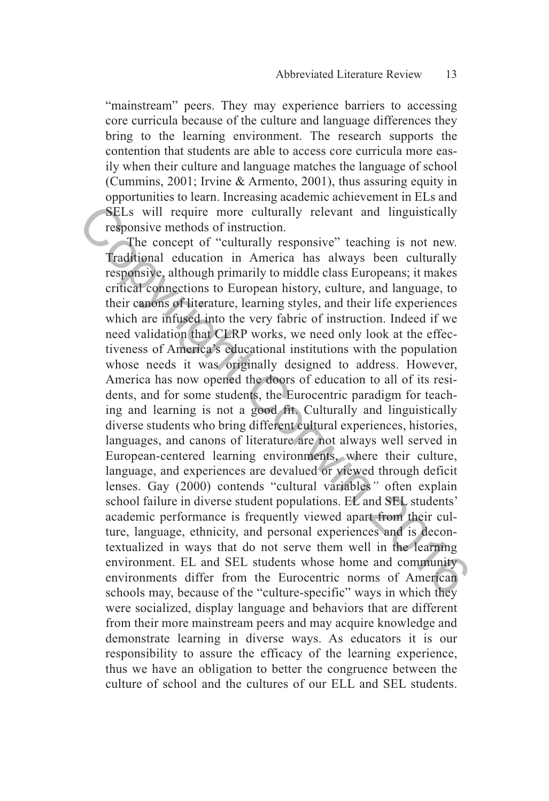"mainstream" peers. They may experience barriers to accessing core curricula because of the culture and language differences they bring to the learning environment. The research supports the contention that students are able to access core curricula more easily when their culture and language matches the language of school (Cummins, 2001; Irvine & Armento, 2001), thus assuring equity in opportunities to learn. Increasing academic achievement in ELs and SELs will require more culturally relevant and linguistically responsive methods of instruction.

The concept of "culturally responsive" teaching is not new. Traditional education in America has always been culturally responsive, although primarily to middle class Europeans; it makes critical connections to European history, culture, and language, to their canons of literature, learning styles, and their life experiences which are infused into the very fabric of instruction. Indeed if we need validation that CLRP works, we need only look at the effectiveness of America's educational institutions with the population whose needs it was originally designed to address. However, America has now opened the doors of education to all of its residents, and for some students, the Eurocentric paradigm for teaching and learning is not a good fit. Culturally and linguistically diverse students who bring different cultural experiences, histories, languages, and canons of literature are not always well served in European-centered learning environments, where their culture, language, and experiences are devalued or viewed through deficit lenses. Gay (2000) contends "cultural variables*"* often explain school failure in diverse student populations. EL and SEL students' academic performance is frequently viewed apart from their culture, language, ethnicity, and personal experiences and is decontextualized in ways that do not serve them well in the learning environment. EL and SEL students whose home and community environments differ from the Eurocentric norms of American schools may, because of the "culture-specific" ways in which they were socialized, display language and behaviors that are different from their more mainstream peers and may acquire knowledge and demonstrate learning in diverse ways. As educators it is our responsibility to assure the efficacy of the learning experience, thus we have an obligation to better the congruence between the culture of school and the cultures of our ELL and SEL students. SELs will require more culturally relevant and linguistically<br>responsive methods of instruction.<br>The concept of "culturally responsive" teaching is not new.<br>Traditional education in America has always been culturally<br>respo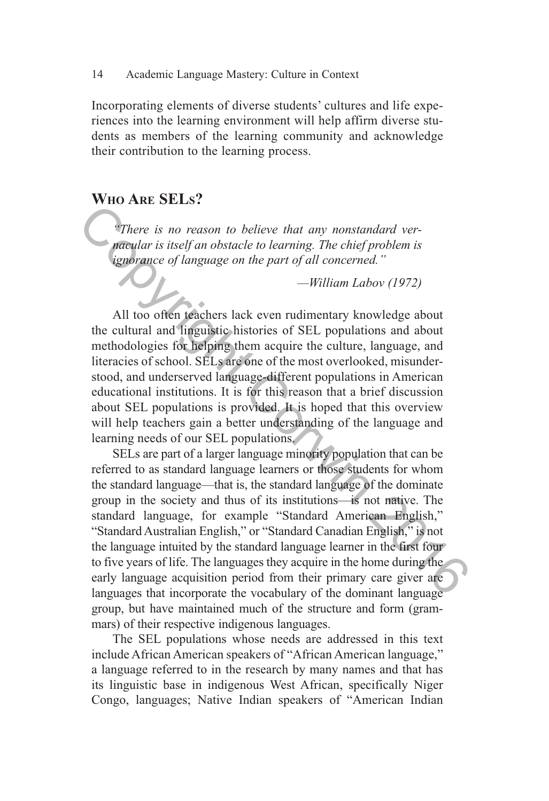Incorporating elements of diverse students' cultures and life experiences into the learning environment will help affirm diverse students as members of the learning community and acknowledge their contribution to the learning process.

#### **Who Are SELs?**

*"There is no reason to believe that any nonstandard vernacular is itself an obstacle to learning. The chief problem is ignorance of language on the part of all concerned."*

*—William Labov (1972)*

All too often teachers lack even rudimentary knowledge about the cultural and linguistic histories of SEL populations and about methodologies for helping them acquire the culture, language, and literacies of school. SELs are one of the most overlooked, misunderstood, and underserved language-different populations in American educational institutions. It is for this reason that a brief discussion about SEL populations is provided. It is hoped that this overview will help teachers gain a better understanding of the language and learning needs of our SEL populations.

SELs are part of a larger language minority population that can be referred to as standard language learners or those students for whom the standard language—that is, the standard language of the dominate group in the society and thus of its institutions—is not native. The standard language, for example "Standard American English," "Standard Australian English," or "Standard Canadian English," is not the language intuited by the standard language learner in the first four to five years of life. The languages they acquire in the home during the early language acquisition period from their primary care giver are languages that incorporate the vocabulary of the dominant language group, but have maintained much of the structure and form (grammars) of their respective indigenous languages. There is no reason to believe that any nonstandard ver-<br>
natura is tigely an obstacle to learning. The chief problem is<br>
ignorance of language on the part of all concerned."<br>  $-Milliam Labov (1972)$ <br>
All too often teachers lack ev

The SEL populations whose needs are addressed in this text include African American speakers of "African American language," a language referred to in the research by many names and that has its linguistic base in indigenous West African, specifically Niger Congo, languages; Native Indian speakers of "American Indian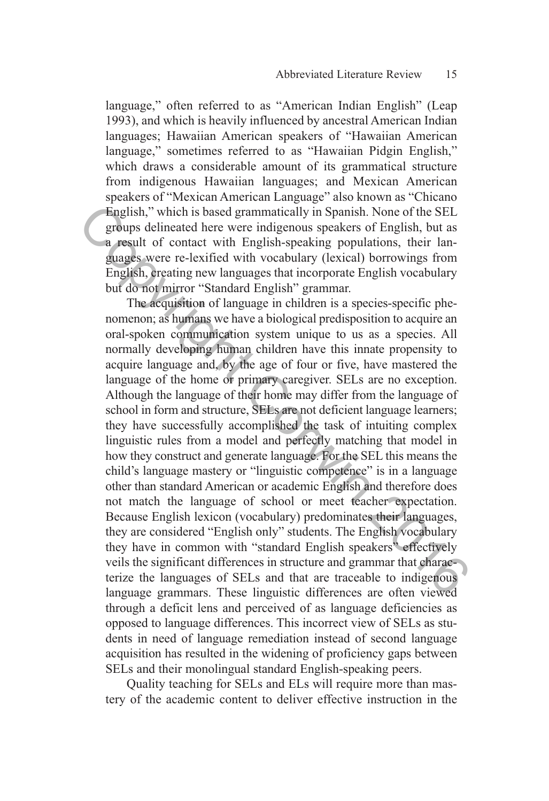language," often referred to as "American Indian English" (Leap 1993), and which is heavily influenced by ancestral American Indian languages; Hawaiian American speakers of "Hawaiian American language," sometimes referred to as "Hawaiian Pidgin English," which draws a considerable amount of its grammatical structure from indigenous Hawaiian languages; and Mexican American speakers of "Mexican American Language" also known as "Chicano English," which is based grammatically in Spanish. None of the SEL groups delineated here were indigenous speakers of English, but as a result of contact with English-speaking populations, their languages were re-lexified with vocabulary (lexical) borrowings from English, creating new languages that incorporate English vocabulary but do not mirror "Standard English" grammar.

The acquisition of language in children is a species-specific phenomenon; as humans we have a biological predisposition to acquire an oral-spoken communication system unique to us as a species. All normally developing human children have this innate propensity to acquire language and, by the age of four or five, have mastered the language of the home or primary caregiver. SELs are no exception. Although the language of their home may differ from the language of school in form and structure, SELs are not deficient language learners; they have successfully accomplished the task of intuiting complex linguistic rules from a model and perfectly matching that model in how they construct and generate language. For the SEL this means the child's language mastery or "linguistic competence" is in a language other than standard American or academic English and therefore does not match the language of school or meet teacher expectation. Because English lexicon (vocabulary) predominates their languages, they are considered "English only" students. The English vocabulary they have in common with "standard English speakers" effectively veils the significant differences in structure and grammar that characterize the languages of SELs and that are traceable to indigenous language grammars. These linguistic differences are often viewed through a deficit lens and perceived of as language deficiencies as opposed to language differences. This incorrect view of SELs as students in need of language remediation instead of second language acquisition has resulted in the widening of proficiency gaps between SELs and their monolingual standard English-speaking peers. English," which is based grammatically in Spanish. None of the SEL<br>groups delineated here were indigenous speakers of English, but as<br>a result of contact with English-speaking populations, their lan-<br>guages were re-lexifie

Quality teaching for SELs and ELs will require more than mastery of the academic content to deliver effective instruction in the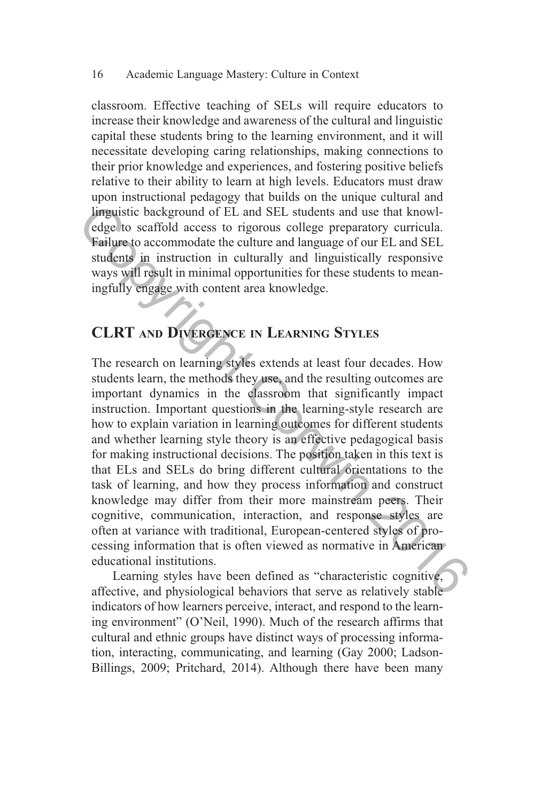#### 16 Academic Language Mastery: Culture in Context

classroom. Effective teaching of SELs will require educators to increase their knowledge and awareness of the cultural and linguistic capital these students bring to the learning environment, and it will necessitate developing caring relationships, making connections to their prior knowledge and experiences, and fostering positive beliefs relative to their ability to learn at high levels. Educators must draw upon instructional pedagogy that builds on the unique cultural and linguistic background of EL and SEL students and use that knowledge to scaffold access to rigorous college preparatory curricula. Failure to accommodate the culture and language of our EL and SEL students in instruction in culturally and linguistically responsive ways will result in minimal opportunities for these students to meaningfully engage with content area knowledge.

### **CLRT and Divergence in Learning Styles**

The research on learning styles extends at least four decades. How students learn, the methods they use, and the resulting outcomes are important dynamics in the classroom that significantly impact instruction. Important questions in the learning-style research are how to explain variation in learning outcomes for different students and whether learning style theory is an effective pedagogical basis for making instructional decisions. The position taken in this text is that ELs and SELs do bring different cultural orientations to the task of learning, and how they process information and construct knowledge may differ from their more mainstream peers. Their cognitive, communication, interaction, and response styles are often at variance with traditional, European-centered styles of processing information that is often viewed as normative in American educational institutions. **Example 12** Interaction of EL and SEL students and use that knowledge to scaffold access to rigorous college preparatory curricula.<br> **Failure to accommodate the culture and language of our EL and SEL students in instruct** 

Learning styles have been defined as "characteristic cognitive, affective, and physiological behaviors that serve as relatively stable indicators of how learners perceive, interact, and respond to the learning environment" (O'Neil, 1990). Much of the research affirms that cultural and ethnic groups have distinct ways of processing information, interacting, communicating, and learning (Gay 2000; Ladson-Billings, 2009; Pritchard, 2014). Although there have been many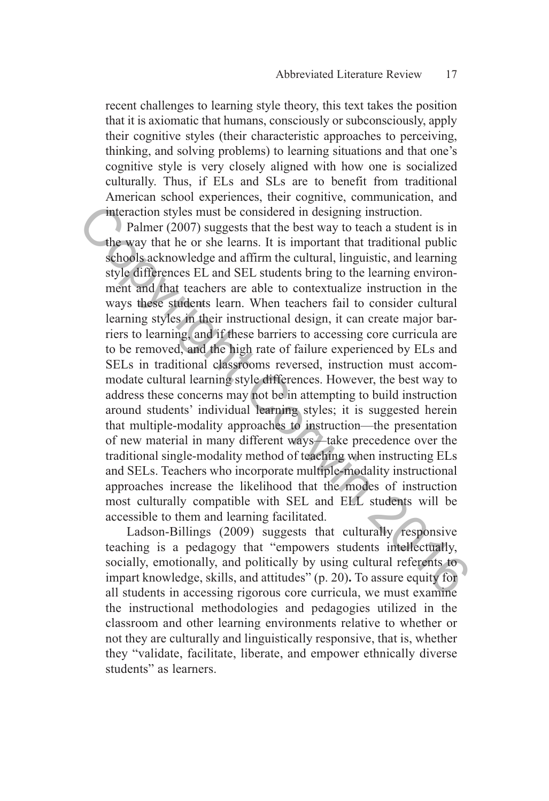recent challenges to learning style theory, this text takes the position that it is axiomatic that humans, consciously or subconsciously, apply their cognitive styles (their characteristic approaches to perceiving, thinking, and solving problems) to learning situations and that one's cognitive style is very closely aligned with how one is socialized culturally. Thus, if ELs and SLs are to benefit from traditional American school experiences, their cognitive, communication, and interaction styles must be considered in designing instruction.

Palmer (2007) suggests that the best way to teach a student is in the way that he or she learns. It is important that traditional public schools acknowledge and affirm the cultural, linguistic, and learning style differences EL and SEL students bring to the learning environment and that teachers are able to contextualize instruction in the ways these students learn. When teachers fail to consider cultural learning styles in their instructional design, it can create major barriers to learning, and if these barriers to accessing core curricula are to be removed, and the high rate of failure experienced by ELs and SELs in traditional classrooms reversed, instruction must accommodate cultural learning style differences. However, the best way to address these concerns may not be in attempting to build instruction around students' individual learning styles; it is suggested herein that multiple-modality approaches to instruction—the presentation of new material in many different ways—take precedence over the traditional single-modality method of teaching when instructing ELs and SELs. Teachers who incorporate multiple-modality instructional approaches increase the likelihood that the modes of instruction most culturally compatible with SEL and ELL students will be accessible to them and learning facilitated. interaction styles must be considered in designing instruction.<br>
Palmer (2007) suggests that the best way to teach a student is in<br>
the way to the learns. It is important that traditional public<br>
schools acknowledge and af

Ladson-Billings (2009) suggests that culturally responsive teaching is a pedagogy that "empowers students intellectually, socially, emotionally, and politically by using cultural referents to impart knowledge, skills, and attitudes" (p. 20)**.** To assure equity for all students in accessing rigorous core curricula, we must examine the instructional methodologies and pedagogies utilized in the classroom and other learning environments relative to whether or not they are culturally and linguistically responsive, that is, whether they "validate, facilitate, liberate, and empower ethnically diverse students" as learners.